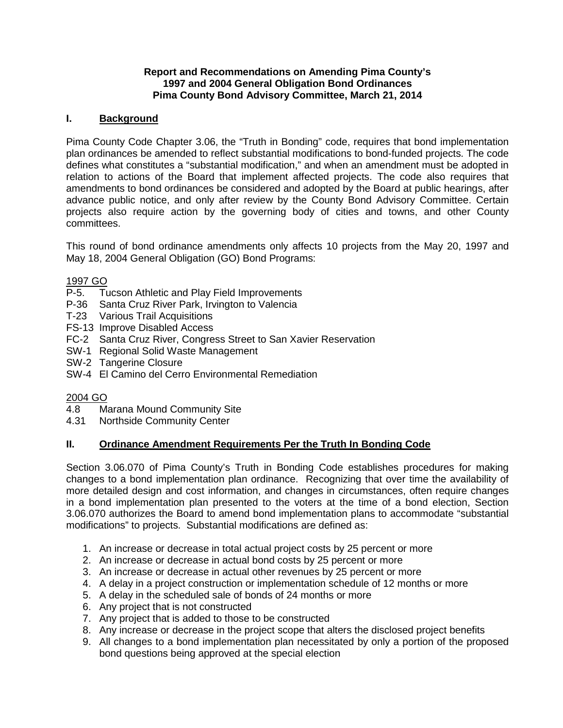### **Report and Recommendations on Amending Pima County's 1997 and 2004 General Obligation Bond Ordinances Pima County Bond Advisory Committee, March 21, 2014**

### **I. Background**

Pima County Code Chapter 3.06, the "Truth in Bonding" code, requires that bond implementation plan ordinances be amended to reflect substantial modifications to bond-funded projects. The code defines what constitutes a "substantial modification," and when an amendment must be adopted in relation to actions of the Board that implement affected projects. The code also requires that amendments to bond ordinances be considered and adopted by the Board at public hearings, after advance public notice, and only after review by the County Bond Advisory Committee. Certain projects also require action by the governing body of cities and towns, and other County committees.

This round of bond ordinance amendments only affects 10 projects from the May 20, 1997 and May 18, 2004 General Obligation (GO) Bond Programs:

### 1997 GO

- P-5. Tucson Athletic and Play Field Improvements
- P-36 Santa Cruz River Park, Irvington to Valencia
- T-23 Various Trail Acquisitions
- FS-13 Improve Disabled Access
- FC-2 Santa Cruz River, Congress Street to San Xavier Reservation
- SW-1 Regional Solid Waste Management
- SW-2 Tangerine Closure
- SW-4 El Camino del Cerro Environmental Remediation

### 2004 GO

- 4.8 Marana Mound Community Site
- 4.31 Northside Community Center

### **II. Ordinance Amendment Requirements Per the Truth In Bonding Code**

Section 3.06.070 of Pima County's Truth in Bonding Code establishes procedures for making changes to a bond implementation plan ordinance. Recognizing that over time the availability of more detailed design and cost information, and changes in circumstances, often require changes in a bond implementation plan presented to the voters at the time of a bond election, Section 3.06.070 authorizes the Board to amend bond implementation plans to accommodate "substantial modifications" to projects. Substantial modifications are defined as:

- 1. An increase or decrease in total actual project costs by 25 percent or more
- 2. An increase or decrease in actual bond costs by 25 percent or more
- 3. An increase or decrease in actual other revenues by 25 percent or more
- 4. A delay in a project construction or implementation schedule of 12 months or more
- 5. A delay in the scheduled sale of bonds of 24 months or more
- 6. Any project that is not constructed
- 7. Any project that is added to those to be constructed
- 8. Any increase or decrease in the project scope that alters the disclosed project benefits
- 9. All changes to a bond implementation plan necessitated by only a portion of the proposed bond questions being approved at the special election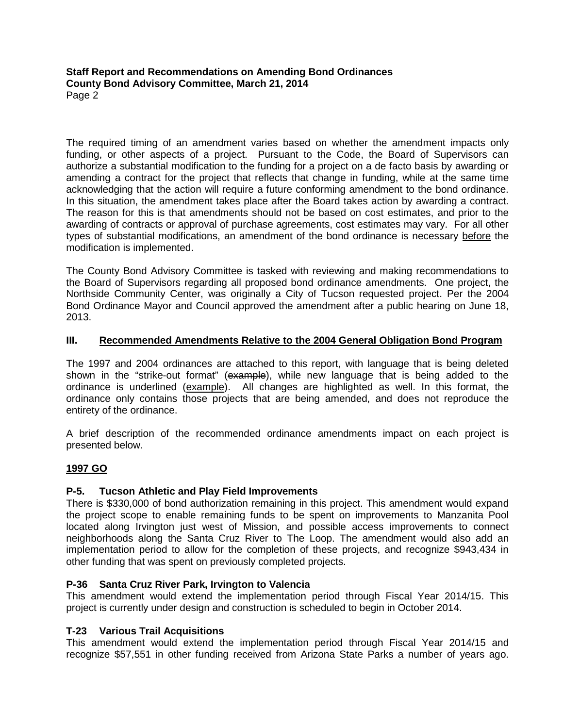**Staff Report and Recommendations on Amending Bond Ordinances County Bond Advisory Committee, March 21, 2014** Page 2

The required timing of an amendment varies based on whether the amendment impacts only funding, or other aspects of a project. Pursuant to the Code, the Board of Supervisors can authorize a substantial modification to the funding for a project on a de facto basis by awarding or amending a contract for the project that reflects that change in funding, while at the same time acknowledging that the action will require a future conforming amendment to the bond ordinance. In this situation, the amendment takes place after the Board takes action by awarding a contract. The reason for this is that amendments should not be based on cost estimates, and prior to the awarding of contracts or approval of purchase agreements, cost estimates may vary. For all other types of substantial modifications, an amendment of the bond ordinance is necessary before the modification is implemented.

The County Bond Advisory Committee is tasked with reviewing and making recommendations to the Board of Supervisors regarding all proposed bond ordinance amendments. One project, the Northside Community Center, was originally a City of Tucson requested project. Per the 2004 Bond Ordinance Mayor and Council approved the amendment after a public hearing on June 18, 2013.

# **III. Recommended Amendments Relative to the 2004 General Obligation Bond Program**

The 1997 and 2004 ordinances are attached to this report, with language that is being deleted shown in the "strike-out format" (example), while new language that is being added to the ordinance is underlined (example). All changes are highlighted as well. In this format, the ordinance only contains those projects that are being amended, and does not reproduce the entirety of the ordinance.

A brief description of the recommended ordinance amendments impact on each project is presented below.

### **1997 GO**

### **P-5. Tucson Athletic and Play Field Improvements**

There is \$330,000 of bond authorization remaining in this project. This amendment would expand the project scope to enable remaining funds to be spent on improvements to Manzanita Pool located along Irvington just west of Mission, and possible access improvements to connect neighborhoods along the Santa Cruz River to The Loop. The amendment would also add an implementation period to allow for the completion of these projects, and recognize \$943,434 in other funding that was spent on previously completed projects.

### **P-36 Santa Cruz River Park, Irvington to Valencia**

This amendment would extend the implementation period through Fiscal Year 2014/15. This project is currently under design and construction is scheduled to begin in October 2014.

### **T-23 Various Trail Acquisitions**

This amendment would extend the implementation period through Fiscal Year 2014/15 and recognize \$57,551 in other funding received from Arizona State Parks a number of years ago.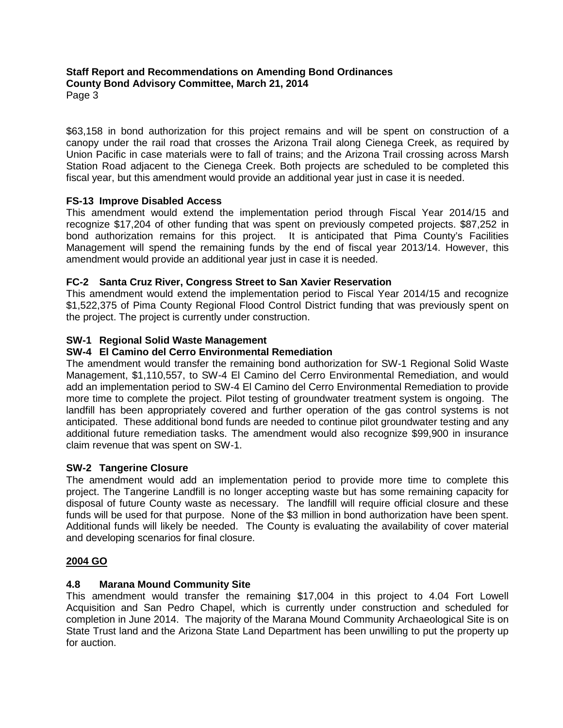#### **Staff Report and Recommendations on Amending Bond Ordinances County Bond Advisory Committee, March 21, 2014** Page 3

\$63,158 in bond authorization for this project remains and will be spent on construction of a canopy under the rail road that crosses the Arizona Trail along Cienega Creek, as required by Union Pacific in case materials were to fall of trains; and the Arizona Trail crossing across Marsh Station Road adjacent to the Cienega Creek. Both projects are scheduled to be completed this fiscal year, but this amendment would provide an additional year just in case it is needed.

# **FS-13 Improve Disabled Access**

This amendment would extend the implementation period through Fiscal Year 2014/15 and recognize \$17,204 of other funding that was spent on previously competed projects. \$87,252 in bond authorization remains for this project. It is anticipated that Pima County's Facilities Management will spend the remaining funds by the end of fiscal year 2013/14. However, this amendment would provide an additional year just in case it is needed.

# **FC-2 Santa Cruz River, Congress Street to San Xavier Reservation**

This amendment would extend the implementation period to Fiscal Year 2014/15 and recognize \$1,522,375 of Pima County Regional Flood Control District funding that was previously spent on the project. The project is currently under construction.

# **SW-1 Regional Solid Waste Management**

# **SW-4 El Camino del Cerro Environmental Remediation**

The amendment would transfer the remaining bond authorization for SW-1 Regional Solid Waste Management, \$1,110,557, to SW-4 El Camino del Cerro Environmental Remediation, and would add an implementation period to SW-4 El Camino del Cerro Environmental Remediation to provide more time to complete the project. Pilot testing of groundwater treatment system is ongoing. The landfill has been appropriately covered and further operation of the gas control systems is not anticipated. These additional bond funds are needed to continue pilot groundwater testing and any additional future remediation tasks. The amendment would also recognize \$99,900 in insurance claim revenue that was spent on SW-1.

### **SW-2 Tangerine Closure**

The amendment would add an implementation period to provide more time to complete this project. The Tangerine Landfill is no longer accepting waste but has some remaining capacity for disposal of future County waste as necessary. The landfill will require official closure and these funds will be used for that purpose. None of the \$3 million in bond authorization have been spent. Additional funds will likely be needed. The County is evaluating the availability of cover material and developing scenarios for final closure.

### **2004 GO**

### **4.8 Marana Mound Community Site**

This amendment would transfer the remaining \$17,004 in this project to 4.04 Fort Lowell Acquisition and San Pedro Chapel, which is currently under construction and scheduled for completion in June 2014. The majority of the Marana Mound Community Archaeological Site is on State Trust land and the Arizona State Land Department has been unwilling to put the property up for auction.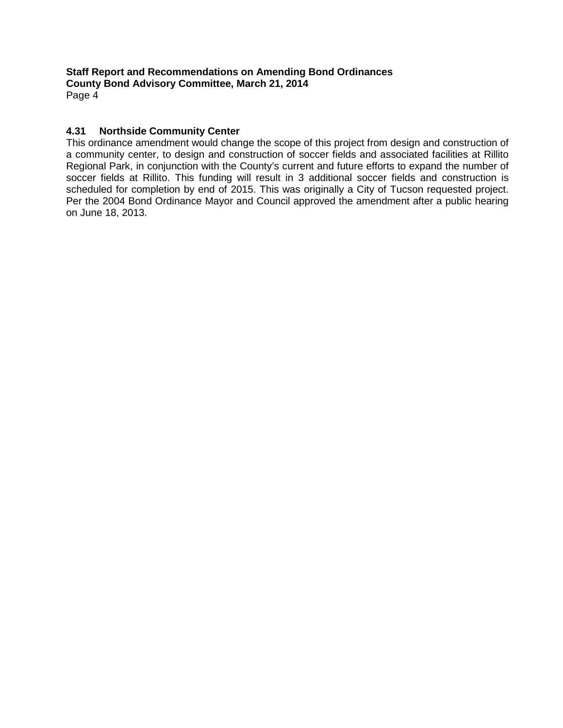**Staff Report and Recommendations on Amending Bond Ordinances County Bond Advisory Committee, March 21, 2014** Page 4

### **4.31 Northside Community Center**

This ordinance amendment would change the scope of this project from design and construction of a community center, to design and construction of soccer fields and associated facilities at Rillito Regional Park, in conjunction with the County's current and future efforts to expand the number of soccer fields at Rillito. This funding will result in 3 additional soccer fields and construction is scheduled for completion by end of 2015. This was originally a City of Tucson requested project. Per the 2004 Bond Ordinance Mayor and Council approved the amendment after a public hearing on June 18, 2013.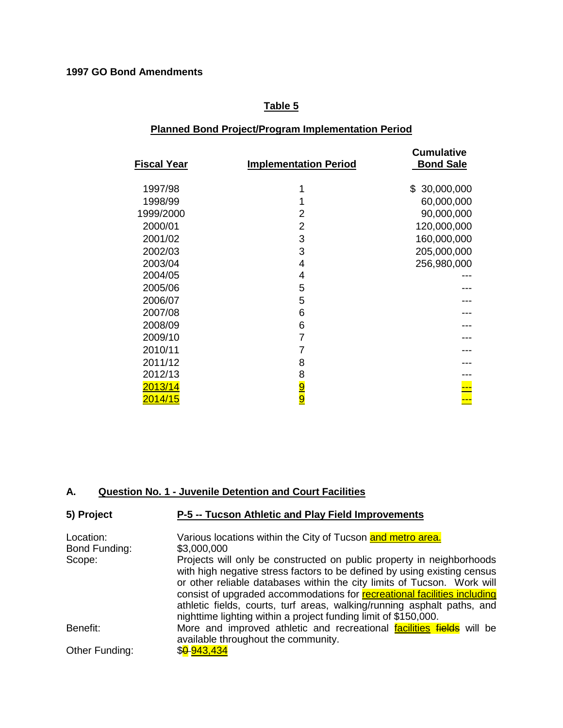# **Table 5**

# **Planned Bond Project/Program Implementation Period**

| Fiscal Year | <b>Implementation Period</b> | <b>Cumulative</b><br><b>Bond Sale</b> |
|-------------|------------------------------|---------------------------------------|
| 1997/98     | 1                            | \$30,000,000                          |
| 1998/99     | 1                            | 60,000,000                            |
| 1999/2000   | 2                            | 90,000,000                            |
| 2000/01     | 2                            | 120,000,000                           |
| 2001/02     | 3                            | 160,000,000                           |
| 2002/03     | 3                            | 205,000,000                           |
| 2003/04     | 4                            | 256,980,000                           |
| 2004/05     | 4                            |                                       |
| 2005/06     | 5                            |                                       |
| 2006/07     | 5                            |                                       |
| 2007/08     | 6                            |                                       |
| 2008/09     | 6                            |                                       |
| 2009/10     | $\overline{7}$               |                                       |
| 2010/11     | 7                            |                                       |
| 2011/12     | 8                            |                                       |
| 2012/13     |                              |                                       |
| 2013/14     | 8<br><mark>9 DI</mark>       |                                       |
| 2014/15     |                              | ↔                                     |

# **A. Question No. 1 - Juvenile Detention and Court Facilities**

| 5) Project                 | P-5 -- Tucson Athletic and Play Field Improvements                                                           |
|----------------------------|--------------------------------------------------------------------------------------------------------------|
| Location:<br>Bond Funding: | Various locations within the City of Tucson and metro area.<br>\$3,000,000                                   |
| Scope:                     | Projects will only be constructed on public property in neighborhoods                                        |
|                            | with high negative stress factors to be defined by using existing census                                     |
|                            | or other reliable databases within the city limits of Tucson. Work will                                      |
|                            | consist of upgraded accommodations for recreational facilities including                                     |
|                            | athletic fields, courts, turf areas, walking/running asphalt paths, and                                      |
|                            | nighttime lighting within a project funding limit of \$150,000.                                              |
| Benefit:                   | More and improved athletic and recreational facilities fields will be<br>available throughout the community. |
| Other Funding:             | \$0-943,434                                                                                                  |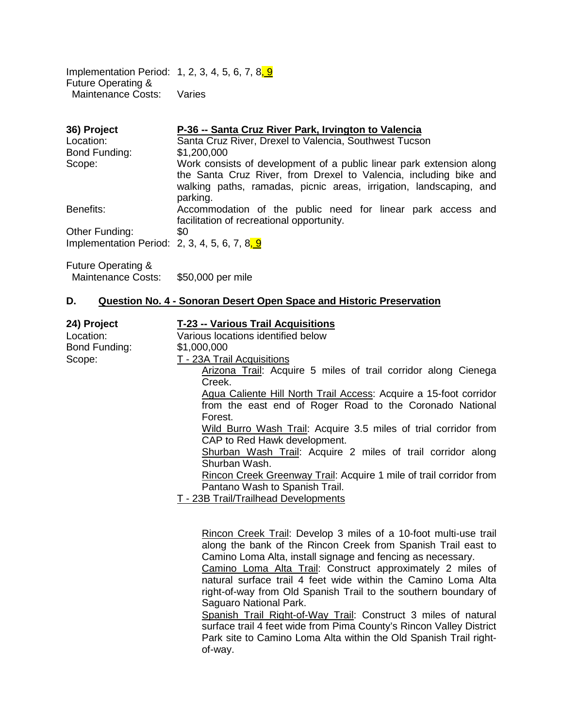Implementation Period: 1, 2, 3, 4, 5, 6, 7, 8, 9 Future Operating & Maintenance Costs: Varies

| 36) Project                                   | P-36 -- Santa Cruz River Park, Irvington to Valencia                                                                                                                                                                        |
|-----------------------------------------------|-----------------------------------------------------------------------------------------------------------------------------------------------------------------------------------------------------------------------------|
| Location:                                     | Santa Cruz River, Drexel to Valencia, Southwest Tucson                                                                                                                                                                      |
| Bond Funding:                                 | \$1,200,000                                                                                                                                                                                                                 |
| Scope:                                        | Work consists of development of a public linear park extension along<br>the Santa Cruz River, from Drexel to Valencia, including bike and<br>walking paths, ramadas, picnic areas, irrigation, landscaping, and<br>parking. |
| Benefits:                                     | Accommodation of the public need for linear park access and<br>facilitation of recreational opportunity.                                                                                                                    |
| Other Funding:                                | \$0                                                                                                                                                                                                                         |
| Implementation Period: 2, 3, 4, 5, 6, 7, 8, 9 |                                                                                                                                                                                                                             |
|                                               |                                                                                                                                                                                                                             |

Future Operating & Maintenance Costs: \$50,000 per mile

#### **D. Question No. 4 - Sonoran Desert Open Space and Historic Preservation**

| 24) Project   | T-23 -- Various Trail Acquisitions                                 |
|---------------|--------------------------------------------------------------------|
| Location:     | Various locations identified below                                 |
| Bond Funding: | \$1,000,000                                                        |
| Scope:        | T - 23A Trail Acquisitions                                         |
|               | Arizona Trail: Acquire 5 miles of trail corridor along Cienega     |
|               | Creek.                                                             |
|               | Agua Caliente Hill North Trail Access: Acquire a 15-foot corridor  |
|               | from the east end of Roger Road to the Coronado National           |
|               | Forest.                                                            |
|               | Wild Burro Wash Trail: Acquire 3.5 miles of trial corridor from    |
|               | CAP to Red Hawk development.                                       |
|               | Shurban Wash Trail: Acquire 2 miles of trail corridor along        |
|               | Shurban Wash.                                                      |
|               | Rincon Creek Greenway Trail: Acquire 1 mile of trail corridor from |
|               | Pantano Wash to Spanish Trail.                                     |
|               | T - 23B Trail/Trailhead Developments                               |

Rincon Creek Trail: Develop 3 miles of a 10-foot multi-use trail along the bank of the Rincon Creek from Spanish Trail east to Camino Loma Alta, install signage and fencing as necessary.

Camino Loma Alta Trail: Construct approximately 2 miles of natural surface trail 4 feet wide within the Camino Loma Alta right-of-way from Old Spanish Trail to the southern boundary of Saguaro National Park.

Spanish Trail Right-of-Way Trail: Construct 3 miles of natural surface trail 4 feet wide from Pima County's Rincon Valley District Park site to Camino Loma Alta within the Old Spanish Trail rightof-way.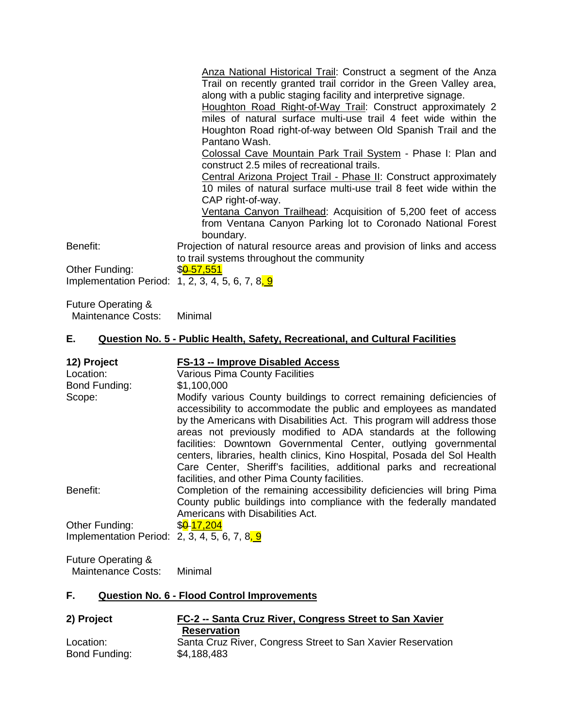Anza National Historical Trail: Construct a segment of the Anza Trail on recently granted trail corridor in the Green Valley area, along with a public staging facility and interpretive signage.

Houghton Road Right-of-Way Trail: Construct approximately 2 miles of natural surface multi-use trail 4 feet wide within the Houghton Road right-of-way between Old Spanish Trail and the Pantano Wash.

Colossal Cave Mountain Park Trail System - Phase I: Plan and construct 2.5 miles of recreational trails.

Central Arizona Project Trail - Phase II: Construct approximately 10 miles of natural surface multi-use trail 8 feet wide within the CAP right-of-way.

Ventana Canyon Trailhead: Acquisition of 5,200 feet of access from Ventana Canyon Parking lot to Coronado National Forest boundary.

Benefit: Projection of natural resource areas and provision of links and access to trail systems throughout the community

Other Funding: \$86-57,551 Implementation Period: 1, 2, 3, 4, 5, 6, 7, 8,  $9$ 

Future Operating & Maintenance Costs: Minimal

#### **E. Question No. 5 - Public Health, Safety, Recreational, and Cultural Facilities**

| 12) Project<br>Location:<br>Bond Funding:                       | FS-13 -- Improve Disabled Access<br><b>Various Pima County Facilities</b><br>\$1,100,000                                                                                                                                                                                                                                                                                                                                                                                                                                                                        |
|-----------------------------------------------------------------|-----------------------------------------------------------------------------------------------------------------------------------------------------------------------------------------------------------------------------------------------------------------------------------------------------------------------------------------------------------------------------------------------------------------------------------------------------------------------------------------------------------------------------------------------------------------|
| Scope:                                                          | Modify various County buildings to correct remaining deficiencies of<br>accessibility to accommodate the public and employees as mandated<br>by the Americans with Disabilities Act. This program will address those<br>areas not previously modified to ADA standards at the following<br>facilities: Downtown Governmental Center, outlying governmental<br>centers, libraries, health clinics, Kino Hospital, Posada del Sol Health<br>Care Center, Sheriff's facilities, additional parks and recreational<br>facilities, and other Pima County facilities. |
| Benefit:                                                        | Completion of the remaining accessibility deficiencies will bring Pima<br>County public buildings into compliance with the federally mandated<br>Americans with Disabilities Act.                                                                                                                                                                                                                                                                                                                                                                               |
| Other Funding:<br>Implementation Period: 2, 3, 4, 5, 6, 7, 8, 9 | \$ <mark>0-</mark> 17,204                                                                                                                                                                                                                                                                                                                                                                                                                                                                                                                                       |
| — <u>— A di</u> n                                               |                                                                                                                                                                                                                                                                                                                                                                                                                                                                                                                                                                 |

Future Operating & Maintenance Costs: Minimal

### **F. Question No. 6 - Flood Control Improvements**

| 2) Project                 | FC-2 -- Santa Cruz River, Congress Street to San Xavier                    |  |
|----------------------------|----------------------------------------------------------------------------|--|
|                            | <b>Reservation</b>                                                         |  |
| Location:<br>Bond Funding: | Santa Cruz River, Congress Street to San Xavier Reservation<br>\$4,188,483 |  |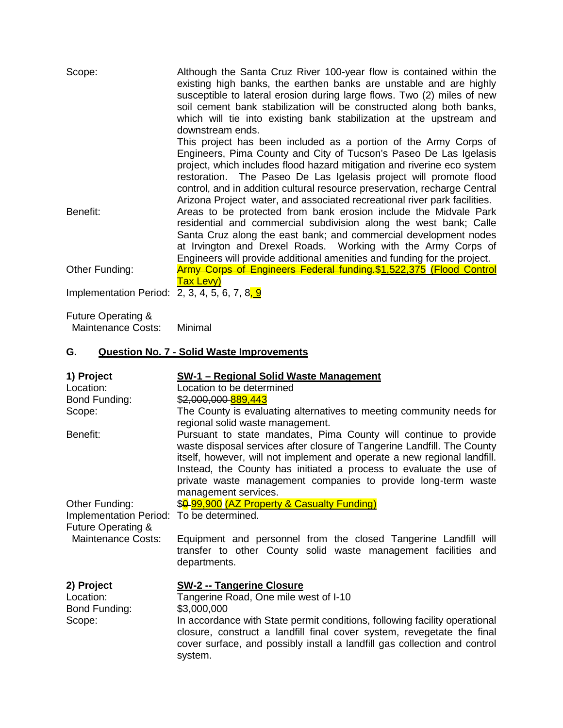| Scope:                                        | Although the Santa Cruz River 100-year flow is contained within the<br>existing high banks, the earthen banks are unstable and are highly<br>susceptible to lateral erosion during large flows. Two (2) miles of new<br>soil cement bank stabilization will be constructed along both banks,<br>which will tie into existing bank stabilization at the upstream and<br>downstream ends.                                                         |
|-----------------------------------------------|-------------------------------------------------------------------------------------------------------------------------------------------------------------------------------------------------------------------------------------------------------------------------------------------------------------------------------------------------------------------------------------------------------------------------------------------------|
|                                               | This project has been included as a portion of the Army Corps of<br>Engineers, Pima County and City of Tucson's Paseo De Las Igelasis<br>project, which includes flood hazard mitigation and riverine eco system<br>restoration. The Paseo De Las Igelasis project will promote flood<br>control, and in addition cultural resource preservation, recharge Central<br>Arizona Project water, and associated recreational river park facilities. |
| Benefit:                                      | Areas to be protected from bank erosion include the Midvale Park<br>residential and commercial subdivision along the west bank; Calle<br>Santa Cruz along the east bank; and commercial development nodes<br>at Irvington and Drexel Roads. Working with the Army Corps of<br>Engineers will provide additional amenities and funding for the project.                                                                                          |
| Other Funding:                                | <b>Army Corps of Engineers Federal funding \$1,522,375 (Flood Control</b><br>Tax Levy)                                                                                                                                                                                                                                                                                                                                                          |
| Implementation Period: 2, 3, 4, 5, 6, 7, 8, 9 |                                                                                                                                                                                                                                                                                                                                                                                                                                                 |

Future Operating & Maintenance Costs: Minimal

# **G. Question No. 7 - Solid Waste Improvements**

| 1) Project                                                                                  | <b>SW-1 - Regional Solid Waste Management</b>                                                                                                                                                                                                                                                                                                                                          |
|---------------------------------------------------------------------------------------------|----------------------------------------------------------------------------------------------------------------------------------------------------------------------------------------------------------------------------------------------------------------------------------------------------------------------------------------------------------------------------------------|
| Location:                                                                                   | Location to be determined                                                                                                                                                                                                                                                                                                                                                              |
| Bond Funding:                                                                               | \$2,000,000-889,443                                                                                                                                                                                                                                                                                                                                                                    |
| Scope:                                                                                      | The County is evaluating alternatives to meeting community needs for<br>regional solid waste management.                                                                                                                                                                                                                                                                               |
| Benefit:                                                                                    | Pursuant to state mandates, Pima County will continue to provide<br>waste disposal services after closure of Tangerine Landfill. The County<br>itself, however, will not implement and operate a new regional landfill.<br>Instead, the County has initiated a process to evaluate the use of<br>private waste management companies to provide long-term waste<br>management services. |
| Other Funding:<br>Implementation Period: To be determined.<br><b>Future Operating &amp;</b> | \$0.99,900 (AZ Property & Casualty Funding)                                                                                                                                                                                                                                                                                                                                            |
| <b>Maintenance Costs:</b>                                                                   | Equipment and personnel from the closed Tangerine Landfill will<br>transfer to other County solid waste management facilities and<br>departments.                                                                                                                                                                                                                                      |
| 2) Project<br>Location:<br>Bond Funding:                                                    | <b>SW-2 -- Tangerine Closure</b><br>Tangerine Road, One mile west of I-10<br>\$3,000,000                                                                                                                                                                                                                                                                                               |
| Scope:                                                                                      | In accordance with State permit conditions, following facility operational<br>closure, construct a landfill final cover system, revegetate the final<br>cover surface, and possibly install a landfill gas collection and control<br>system.                                                                                                                                           |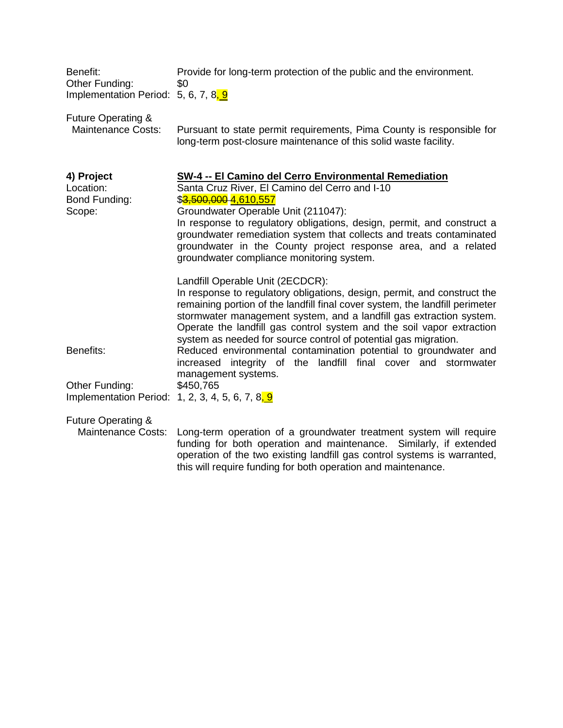| Benefit:                               | Provide for long-term protection of the public and the environment. |
|----------------------------------------|---------------------------------------------------------------------|
| Other Funding:                         |                                                                     |
| Implementation Period: $5, 6, 7, 8, 9$ |                                                                     |

Future Operating &<br>Maintenance Costs: Maintenance Costs: Pursuant to state permit requirements, Pima County is responsible for long-term post-closure maintenance of this solid waste facility.

| 4) Project<br>Location:<br>Bond Funding:<br>Scope:                 | <b>SW-4 -- El Camino del Cerro Environmental Remediation</b><br>Santa Cruz River, El Camino del Cerro and I-10<br>\$ <del>3,500,000</del> 4,610,557<br>Groundwater Operable Unit (211047):                                                                                                                                                                                                                      |
|--------------------------------------------------------------------|-----------------------------------------------------------------------------------------------------------------------------------------------------------------------------------------------------------------------------------------------------------------------------------------------------------------------------------------------------------------------------------------------------------------|
|                                                                    | In response to regulatory obligations, design, permit, and construct a<br>groundwater remediation system that collects and treats contaminated<br>groundwater in the County project response area, and a related<br>groundwater compliance monitoring system.                                                                                                                                                   |
|                                                                    | Landfill Operable Unit (2ECDCR):<br>In response to regulatory obligations, design, permit, and construct the<br>remaining portion of the landfill final cover system, the landfill perimeter<br>stormwater management system, and a landfill gas extraction system.<br>Operate the landfill gas control system and the soil vapor extraction<br>system as needed for source control of potential gas migration. |
| Benefits:                                                          | Reduced environmental contamination potential to groundwater and<br>increased integrity of the landfill final cover and stormwater<br>management systems.                                                                                                                                                                                                                                                       |
| Other Funding:<br>Implementation Period: 1, 2, 3, 4, 5, 6, 7, 8, 9 | \$450,765                                                                                                                                                                                                                                                                                                                                                                                                       |
| <b>Future Operating &amp;</b><br><b>Maintenance Costs:</b>         | Long-term operation of a groundwater treatment system will require<br>funding for both operation and maintenance. Similarly, if extended<br>concretion of the two evicting landfill gas control systems is werronted                                                                                                                                                                                            |

operation of the two existing landfill gas control systems is warranted, this will require funding for both operation and maintenance.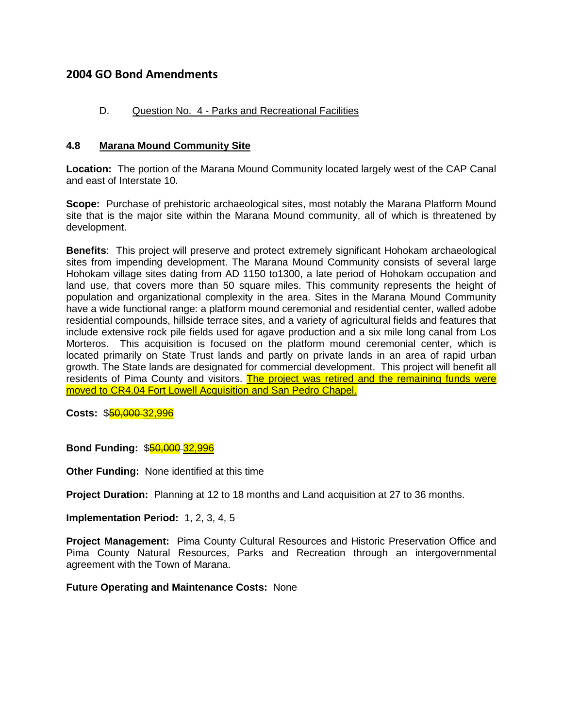# **2004 GO Bond Amendments**

# D. Question No. 4 - Parks and Recreational Facilities

#### **4.8 Marana Mound Community Site**

**Location:** The portion of the Marana Mound Community located largely west of the CAP Canal and east of Interstate 10.

**Scope:** Purchase of prehistoric archaeological sites, most notably the Marana Platform Mound site that is the major site within the Marana Mound community, all of which is threatened by development.

**Benefits**: This project will preserve and protect extremely significant Hohokam archaeological sites from impending development. The Marana Mound Community consists of several large Hohokam village sites dating from AD 1150 to1300, a late period of Hohokam occupation and land use, that covers more than 50 square miles. This community represents the height of population and organizational complexity in the area. Sites in the Marana Mound Community have a wide functional range: a platform mound ceremonial and residential center, walled adobe residential compounds, hillside terrace sites, and a variety of agricultural fields and features that include extensive rock pile fields used for agave production and a six mile long canal from Los Morteros. This acquisition is focused on the platform mound ceremonial center, which is located primarily on State Trust lands and partly on private lands in an area of rapid urban growth. The State lands are designated for commercial development. This project will benefit all residents of Pima County and visitors. The project was retired and the remaining funds were moved to CR4.04 Fort Lowell Acquisition and San Pedro Chapel.

**Costs:** \$50,000 32,996

**Bond Funding:** \$50,000 32,996

**Other Funding:** None identified at this time

**Project Duration:** Planning at 12 to 18 months and Land acquisition at 27 to 36 months.

**Implementation Period:** 1, 2, 3, 4, 5

**Project Management:** Pima County Cultural Resources and Historic Preservation Office and Pima County Natural Resources, Parks and Recreation through an intergovernmental agreement with the Town of Marana.

**Future Operating and Maintenance Costs:** None